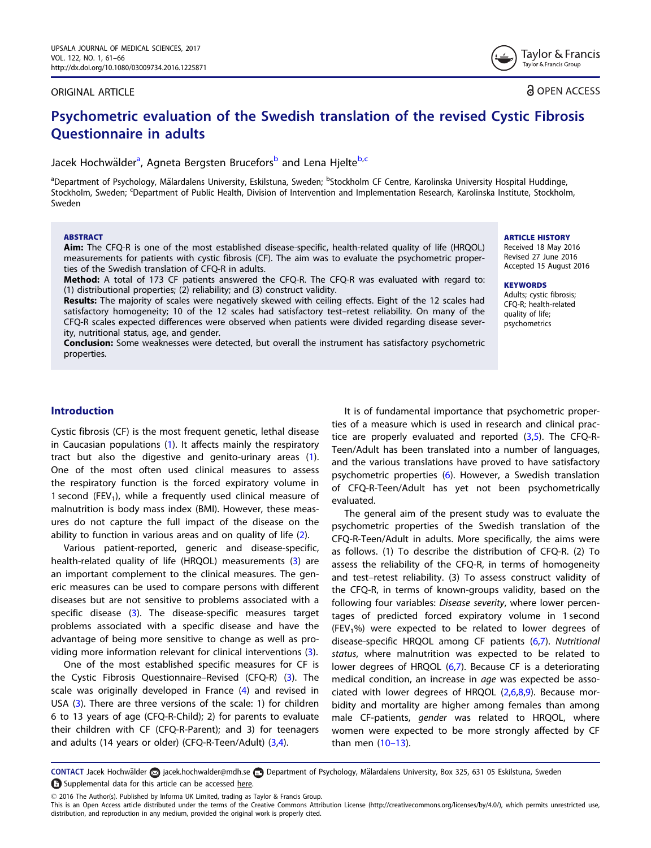#### <span id="page-0-0"></span>ORIGINAL ARTICLE

**a** OPEN ACCESS

Taylor & Francis Taylor & Francis Group

# Psychometric evaluation of the Swedish translation of the revised Cystic Fibrosis Questionnaire in adults

## Jacek Hochwälder<sup>a</sup>, Agneta Bergsten Brucefors<sup>b</sup> and Lena Hjelte<sup>b,c</sup>

<sup>a</sup>Department of Psychology, Mälardalens University, Eskilstuna, Sweden; <sup>b</sup>Stockholm CF Centre, Karolinska University Hospital Huddinge, Stockholm, Sweden; <sup>c</sup>Department of Public Health, Division of Intervention and Implementation Research, Karolinska Institute, Stockholm, Sweden

#### ABSTRACT

Aim: The CFQ-R is one of the most established disease-specific, health-related quality of life (HRQOL) measurements for patients with cystic fibrosis (CF). The aim was to evaluate the psychometric properties of the Swedish translation of CFQ-R in adults.

Method: A total of 173 CF patients answered the CFQ-R. The CFQ-R was evaluated with regard to: (1) distributional properties; (2) reliability; and (3) construct validity.

Results: The majority of scales were negatively skewed with ceiling effects. Eight of the 12 scales had satisfactory homogeneity; 10 of the 12 scales had satisfactory test–retest reliability. On many of the CFQ-R scales expected differences were observed when patients were divided regarding disease severity, nutritional status, age, and gender.

**Conclusion:** Some weaknesses were detected, but overall the instrument has satisfactory psychometric properties.

ARTICLE HISTORY

Received 18 May 2016 Revised 27 June 2016 Accepted 15 August 2016

#### **KEYWORDS**

Adults; cystic fibrosis; CFQ-R; health-related quality of life; psychometrics

## Introduction

Cystic fibrosis (CF) is the most frequent genetic, lethal disease in Caucasian populations ([1](#page-5-0)). It affects mainly the respiratory tract but also the digestive and genito-urinary areas [\(1](#page-5-0)). One of the most often used clinical measures to assess the respiratory function is the forced expiratory volume in 1 second (FEV<sub>1</sub>), while a frequently used clinical measure of malnutrition is body mass index (BMI). However, these measures do not capture the full impact of the disease on the ability to function in various areas and on quality of life [\(2](#page-5-0)).

Various patient-reported, generic and disease-specific, health-related quality of life (HRQOL) measurements [\(3](#page-5-0)) are an important complement to the clinical measures. The generic measures can be used to compare persons with different diseases but are not sensitive to problems associated with a specific disease [\(3](#page-5-0)). The disease-specific measures target problems associated with a specific disease and have the advantage of being more sensitive to change as well as providing more information relevant for clinical interventions [\(3](#page-5-0)).

One of the most established specific measures for CF is the Cystic Fibrosis Questionnaire–Revised (CFQ-R) [\(3](#page-5-0)). The scale was originally developed in France [\(4](#page-5-0)) and revised in USA ([3\)](#page-5-0). There are three versions of the scale: 1) for children 6 to 13 years of age (CFQ-R-Child); 2) for parents to evaluate their children with CF (CFQ-R-Parent); and 3) for teenagers and adults (14 years or older) (CFQ-R-Teen/Adult) ([3,4\)](#page-5-0).

It is of fundamental importance that psychometric properties of a measure which is used in research and clinical practice are properly evaluated and reported  $(3,5)$  $(3,5)$ . The CFQ-R-Teen/Adult has been translated into a number of languages, and the various translations have proved to have satisfactory psychometric properties ([6\)](#page-5-0). However, a Swedish translation of CFQ-R-Teen/Adult has yet not been psychometrically evaluated.

The general aim of the present study was to evaluate the psychometric properties of the Swedish translation of the CFQ-R-Teen/Adult in adults. More specifically, the aims were as follows. (1) To describe the distribution of CFQ-R. (2) To assess the reliability of the CFQ-R, in terms of homogeneity and test–retest reliability. (3) To assess construct validity of the CFQ-R, in terms of known-groups validity, based on the following four variables: Disease severity, where lower percentages of predicted forced expiratory volume in 1 second (FEV<sub>1</sub>%) were expected to be related to lower degrees of disease-specific HRQOL among CF patients ([6,7\)](#page-5-0). Nutritional status, where malnutrition was expected to be related to lower degrees of HRQOL [\(6](#page-5-0),[7\)](#page-5-0). Because CF is a deteriorating medical condition, an increase in age was expected be associated with lower degrees of HRQOL ([2,6,8,9\)](#page-5-0). Because morbidity and mortality are higher among females than among male CF-patients, *gender* was related to HRQOL, where women were expected to be more strongly affected by CF than men (10–[13\)](#page-5-0).

CONTACT Jacek Hochwälder a jacek.hochwalder@mdh.se a Department of Psychology, Mälardalens University, Box 325, 631 05 Eskilstuna, Sweden Supplemental data for this article can be accessed [here.](http://dx.doi.org/10.1080/03009734.2016.1225871)

2016 The Author(s). Published by Informa UK Limited, trading as Taylor & Francis Group.

This is an Open Access article distributed under the terms of the Creative Commons Attribution License (http://creativecommons.org/licenses/by/4.0/), which permits unrestricted use, distribution, and reproduction in any medium, provided the original work is properly cited.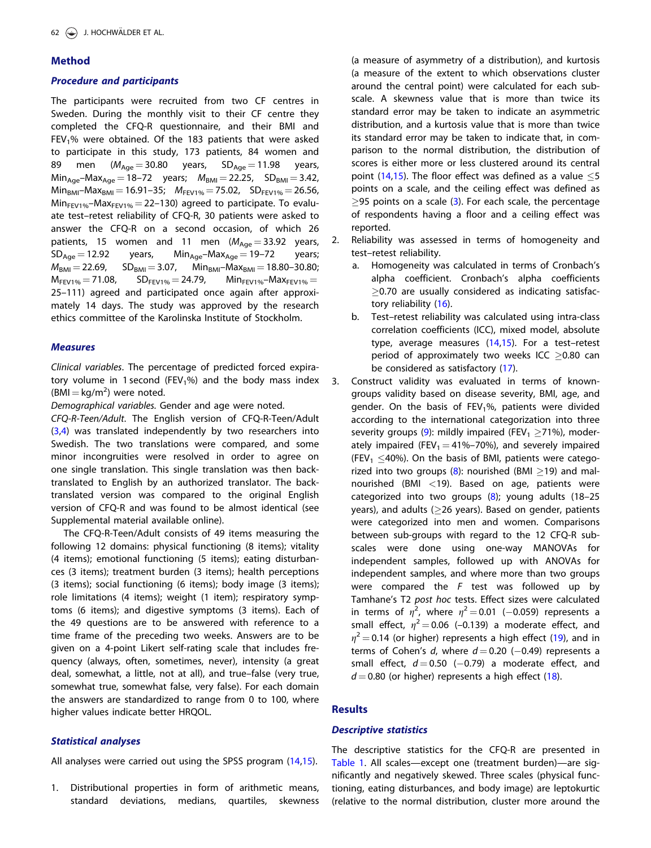## <span id="page-1-0"></span>Method

## Procedure and participants

The participants were recruited from two CF centres in Sweden. During the monthly visit to their CF centre they completed the CFQ-R questionnaire, and their BMI and FEV<sub>1</sub>% were obtained. Of the 183 patients that were asked to participate in this study, 173 patients, 84 women and 89 men ( $M_{Age} = 30.80$  years,  $SD_{Age} = 11.98$  years,  $Min_{Age} - Max_{Aqe} = 18-72$  years;  $M_{BMI} = 22.25$ ,  $SD_{BMI} = 3.42$ ,  $Min_{BMI}-Max_{BMI} = 16.91-35; M_{FEV1%} = 75.02, SD_{FEV1%} = 26.56,$  $Min_{FEV1\%} - Max_{FEV1\%} = 22 - 130$ ) agreed to participate. To evaluate test–retest reliability of CFQ-R, 30 patients were asked to answer the CFQ-R on a second occasion, of which 26 patients, 15 women and 11 men  $(M_{Age} = 33.92 \text{ years},$ <br> $SD_{Age} = 12.92 \text{ years},$   $Min_{Age} - Max_{Age} = 19 - 72 \text{ years};$  $Min_{Age} - Max_{Age} = 19-72$  $M_{BMI} = 22.69$ ,  $SD_{BMI} = 3.07$ ,  $Min_{BMI} - Max_{BMI} = 18.80 - 30.80$ ;<br>  $M_{FEV1\%} = 71.08$ ,  $SD_{FEV1\%} = 24.79$ ,  $Min_{FEV1\%} - Max_{FEV1\%} =$  $SD_{FEV1\%} = 24.79$ , Min<sub>FEV1%</sub>-Max<sub>FEV1%</sub> = 25–111) agreed and participated once again after approximately 14 days. The study was approved by the research ethics committee of the Karolinska Institute of Stockholm.

## Measures

Clinical variables. The percentage of predicted forced expiratory volume in 1 second (FEV<sub>1</sub>%) and the body mass index  $(BMI = kg/m<sup>2</sup>)$  were noted.

Demographical variables. Gender and age were noted.

CFQ-R-Teen/Adult. The English version of CFQ-R-Teen/Adult ([3,4](#page-5-0)) was translated independently by two researchers into Swedish. The two translations were compared, and some minor incongruities were resolved in order to agree on one single translation. This single translation was then backtranslated to English by an authorized translator. The backtranslated version was compared to the original English version of CFQ-R and was found to be almost identical (see Supplemental material available online).

The CFQ-R-Teen/Adult consists of 49 items measuring the following 12 domains: physical functioning (8 items); vitality (4 items); emotional functioning (5 items); eating disturbances (3 items); treatment burden (3 items); health perceptions (3 items); social functioning (6 items); body image (3 items); role limitations (4 items); weight (1 item); respiratory symptoms (6 items); and digestive symptoms (3 items). Each of the 49 questions are to be answered with reference to a time frame of the preceding two weeks. Answers are to be given on a 4-point Likert self-rating scale that includes frequency (always, often, sometimes, never), intensity (a great deal, somewhat, a little, not at all), and true–false (very true, somewhat true, somewhat false, very false). For each domain the answers are standardized to range from 0 to 100, where higher values indicate better HRQOL.

## Statistical analyses

All analyses were carried out using the SPSS program [\(14,15\)](#page-5-0).

1. Distributional properties in form of arithmetic means, standard deviations, medians, quartiles, skewness

(a measure of asymmetry of a distribution), and kurtosis (a measure of the extent to which observations cluster around the central point) were calculated for each subscale. A skewness value that is more than twice its standard error may be taken to indicate an asymmetric distribution, and a kurtosis value that is more than twice its standard error may be taken to indicate that, in comparison to the normal distribution, the distribution of scores is either more or less clustered around its central point [\(14,15\)](#page-5-0). The floor effect was defined as a value  $\leq$ 5 points on a scale, and the ceiling effect was defined as  $\geq$ 95 points on a scale [\(3](#page-5-0)). For each scale, the percentage of respondents having a floor and a ceiling effect was reported.

- 2. Reliability was assessed in terms of homogeneity and test–retest reliability.
	- a. Homogeneity was calculated in terms of Cronbach's alpha coefficient. Cronbach's alpha coefficients  $>$ 0.70 are usually considered as indicating satisfactory reliability [\(16\)](#page-5-0).
	- b. Test–retest reliability was calculated using intra-class correlation coefficients (ICC), mixed model, absolute type, average measures  $(14,15)$  $(14,15)$  $(14,15)$ . For a test-retest period of approximately two weeks ICC  $\geq$ 0.80 can be considered as satisfactory [\(17](#page-5-0)).
- 3. Construct validity was evaluated in terms of knowngroups validity based on disease severity, BMI, age, and gender. On the basis of  $FEV<sub>1</sub>%$ , patients were divided according to the international categorization into three severity groups ([9\)](#page-5-0): mildly impaired (FEV<sub>1</sub>  $>$ 71%), moderately impaired (FEV<sub>1</sub>  $=$  41%–70%), and severely impaired (FEV<sub>1</sub>  $\leq$ 40%). On the basis of BMI, patients were categorized into two groups  $(8)$  $(8)$ : nourished (BMI  $>$ 19) and malnourished (BMI  $<$ 19). Based on age, patients were categorized into two groups  $(8)$  $(8)$ ; young adults  $(18-25)$ years), and adults ( $\geq$ 26 years). Based on gender, patients were categorized into men and women. Comparisons between sub-groups with regard to the 12 CFQ-R subscales were done using one-way MANOVAs for independent samples, followed up with ANOVAs for independent samples, and where more than two groups were compared the  $F$  test was followed up by Tamhane's T2 post hoc tests. Effect sizes were calculated in terms of  $\eta^2$ , where  $\eta^2 = 0.01$  (-0.059) represents a<br>small effect  $\eta^2 = 0.06$  (-0.139) a moderate effect and small effect,  $\eta^2 = 0.06$  (-0.139) a moderate effect, and  $\eta^2$  = 0.14 (or higher) represents a high effect ([19](#page-5-0)), and in terms of Cohen's d, where  $d = 0.20$  (-0.49) represents a small effect,  $d = 0.50$  (-0.79) a moderate effect, and  $d = 0.80$  (or higher) represents a high effect ([18\)](#page-5-0).

#### **Results**

## Descriptive statistics

The descriptive statistics for the CFQ-R are presented in [Table 1](#page-2-0). All scales—except one (treatment burden)—are significantly and negatively skewed. Three scales (physical functioning, eating disturbances, and body image) are leptokurtic (relative to the normal distribution, cluster more around the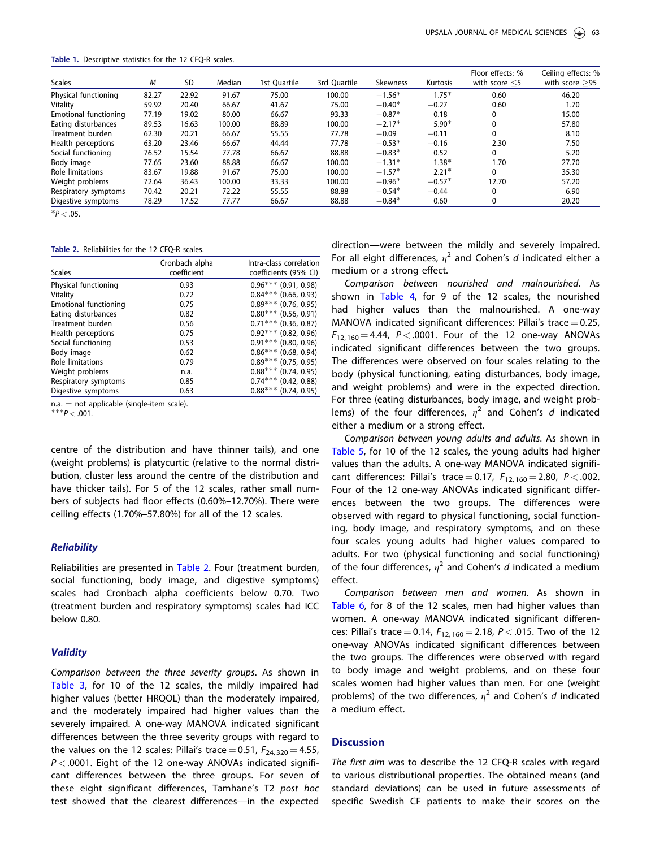<span id="page-2-0"></span>Table 1. Descriptive statistics for the 12 CFQ-R scales.

| <b>Scales</b>                             | М     | <b>SD</b> | Median | 1st Ouartile | 3rd Ouartile | <b>Skewness</b> | Kurtosis | Floor effects: %<br>with score $<$ 5 | Ceiling effects: %<br>with score $>95$ |
|-------------------------------------------|-------|-----------|--------|--------------|--------------|-----------------|----------|--------------------------------------|----------------------------------------|
| Physical functioning                      | 82.27 | 22.92     | 91.67  | 75.00        | 100.00       | $-1.56*$        | $1.75*$  | 0.60                                 | 46.20                                  |
| Vitality                                  | 59.92 | 20.40     | 66.67  | 41.67        | 75.00        | $-0.40*$        | $-0.27$  | 0.60                                 | 1.70                                   |
| Emotional functioning                     | 77.19 | 19.02     | 80.00  | 66.67        | 93.33        | $-0.87*$        | 0.18     | $\mathbf{0}$                         | 15.00                                  |
| Eating disturbances                       | 89.53 | 16.63     | 100.00 | 88.89        | 100.00       | $-2.17*$        | $5.90*$  | 0                                    | 57.80                                  |
| Treatment burden                          | 62.30 | 20.21     | 66.67  | 55.55        | 77.78        | $-0.09$         | $-0.11$  | 0                                    | 8.10                                   |
| Health perceptions                        | 63.20 | 23.46     | 66.67  | 44.44        | 77.78        | $-0.53*$        | $-0.16$  | 2.30                                 | 7.50                                   |
| Social functioning                        | 76.52 | 15.54     | 77.78  | 66.67        | 88.88        | $-0.83*$        | 0.52     | 0                                    | 5.20                                   |
| Body image                                | 77.65 | 23.60     | 88.88  | 66.67        | 100.00       | $-1.31*$        | $1.38*$  | 1.70                                 | 27.70                                  |
| Role limitations                          | 83.67 | 19.88     | 91.67  | 75.00        | 100.00       | $-1.57*$        | $2.21*$  | 0                                    | 35.30                                  |
| Weight problems                           | 72.64 | 36.43     | 100.00 | 33.33        | 100.00       | $-0.96*$        | $-0.57*$ | 12.70                                | 57.20                                  |
| Respiratory symptoms                      | 70.42 | 20.21     | 72.22  | 55.55        | 88.88        | $-0.54*$        | $-0.44$  | $\mathbf{0}$                         | 6.90                                   |
| Digestive symptoms                        | 78.29 | 17.52     | 77.77  | 66.67        | 88.88        | $-0.84*$        | 0.60     | 0                                    | 20.20                                  |
| $\sim$ $\sim$ $\sim$ $\sim$ $\sim$ $\sim$ |       |           |        |              |              |                 |          |                                      |                                        |

 $*P < .05$ .

Table 2. Reliabilities for the 12 CFQ-R scales.

| <b>Scales</b>                | Cronbach alpha<br>coefficient | Intra-class correlation<br>coefficients (95% CI) |
|------------------------------|-------------------------------|--------------------------------------------------|
| Physical functioning         | 0.93                          | $0.96***$ (0.91, 0.98)                           |
| Vitality                     | 0.72                          | $0.84***$ (0.66, 0.93)                           |
| <b>Emotional functioning</b> | 0.75                          | $0.89***$ (0.76, 0.95)                           |
| Eating disturbances          | 0.82                          | $0.80***$ (0.56, 0.91)                           |
| Treatment burden             | 0.56                          | $0.71***$ (0.36, 0.87)                           |
| Health perceptions           | 0.75                          | $0.92***$ (0.82, 0.96)                           |
| Social functioning           | 0.53                          | $0.91***$ (0.80, 0.96)                           |
| Body image                   | 0.62                          | $0.86***$ (0.68, 0.94)                           |
| Role limitations             | 0.79                          | $0.89***$ (0.75, 0.95)                           |
| Weight problems              | n.a.                          | $0.88***$ (0.74, 0.95)                           |
| Respiratory symptoms         | 0.85                          | $0.74***$ (0.42, 0.88)                           |
| Digestive symptoms           | 0.63                          | $0.88***$ (0.74, 0.95)                           |

n.a. = not applicable (single-item scale).<br>\*\*\* $P < .001$ .

centre of the distribution and have thinner tails), and one (weight problems) is platycurtic (relative to the normal distribution, cluster less around the centre of the distribution and have thicker tails). For 5 of the 12 scales, rather small numbers of subjects had floor effects (0.60%–12.70%). There were ceiling effects (1.70%–57.80%) for all of the 12 scales.

#### **Reliability**

Reliabilities are presented in Table 2. Four (treatment burden, social functioning, body image, and digestive symptoms) scales had Cronbach alpha coefficients below 0.70. Two (treatment burden and respiratory symptoms) scales had ICC below 0.80.

#### **Validity**

Comparison between the three severity groups. As shown in [Table 3,](#page-3-0) for 10 of the 12 scales, the mildly impaired had higher values (better HRQOL) than the moderately impaired, and the moderately impaired had higher values than the severely impaired. A one-way MANOVA indicated significant differences between the three severity groups with regard to the values on the 12 scales: Pillai's trace = 0.51,  $F_{24, 320} = 4.55$ ,  $P < .0001$ . Eight of the 12 one-way ANOVAs indicated significant differences between the three groups. For seven of these eight significant differences, Tamhane's T2 post hoc test showed that the clearest differences—in the expected

direction—were between the mildly and severely impaired. For all eight differences,  $\eta^2$  and Cohen's d indicated either a medium or a strong effect.

Comparison between nourished and malnourished. As shown in [Table 4](#page-4-0), for 9 of the 12 scales, the nourished had higher values than the malnourished. A one-way MANOVA indicated significant differences: Pillai's trace  $= 0.25$ ,  $F_{12, 160} = 4.44$ ,  $P < .0001$ . Four of the 12 one-way ANOVAs indicated significant differences between the two groups. The differences were observed on four scales relating to the body (physical functioning, eating disturbances, body image, and weight problems) and were in the expected direction. For three (eating disturbances, body image, and weight problems) of the four differences,  $\eta^2$  and Cohen's d indicated either a medium or a strong effect.

Comparison between young adults and adults. As shown in [Table 5,](#page-4-0) for 10 of the 12 scales, the young adults had higher values than the adults. A one-way MANOVA indicated significant differences: Pillai's trace = 0.17,  $F_{12, 160} = 2.80$ ,  $P < .002$ . Four of the 12 one-way ANOVAs indicated significant differences between the two groups. The differences were observed with regard to physical functioning, social functioning, body image, and respiratory symptoms, and on these four scales young adults had higher values compared to adults. For two (physical functioning and social functioning) of the four differences,  $\eta^2$  and Cohen's d indicated a medium effect.

Comparison between men and women. As shown in [Table 6](#page-4-0), for 8 of the 12 scales, men had higher values than women. A one-way MANOVA indicated significant differences: Pillai's trace = 0.14,  $F_{12, 160} = 2.18$ ,  $P < .015$ . Two of the 12 one-way ANOVAs indicated significant differences between the two groups. The differences were observed with regard to body image and weight problems, and on these four scales women had higher values than men. For one (weight problems) of the two differences,  $\eta^2$  and Cohen's d indicated a medium effect.

#### **Discussion**

The first aim was to describe the 12 CFQ-R scales with regard to various distributional properties. The obtained means (and standard deviations) can be used in future assessments of specific Swedish CF patients to make their scores on the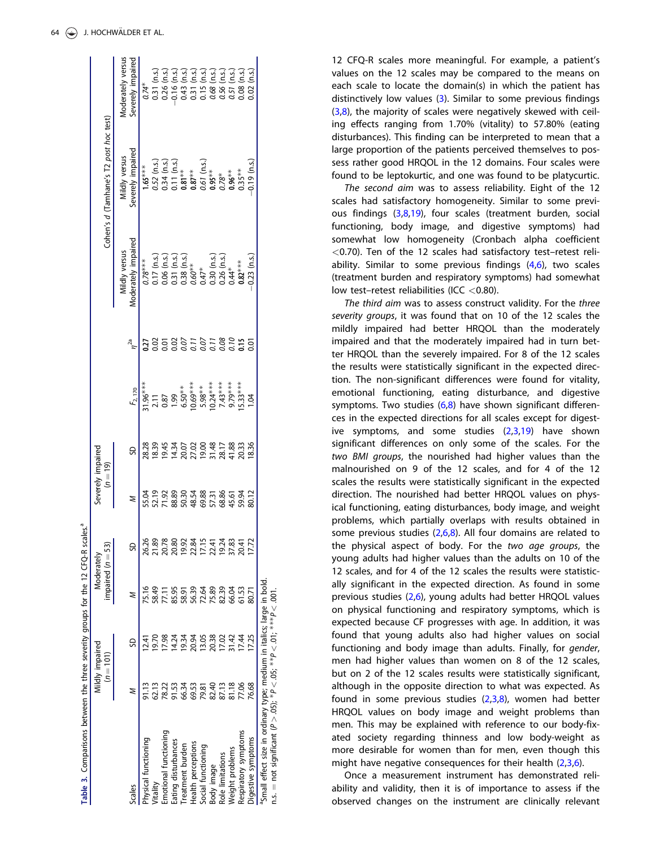<span id="page-3-0"></span>

| Table 3. Comparisons between the three severity groups for the 12 CFQ-R scales. <sup>4</sup>                                                               |                |                                |                                   |       |                                 |   |                                                                                                                                                                                                                                                                                                                 |                       |                                                                                                       |                                                                                                                              |                                                                                                                                                                                                                                  |
|------------------------------------------------------------------------------------------------------------------------------------------------------------|----------------|--------------------------------|-----------------------------------|-------|---------------------------------|---|-----------------------------------------------------------------------------------------------------------------------------------------------------------------------------------------------------------------------------------------------------------------------------------------------------------------|-----------------------|-------------------------------------------------------------------------------------------------------|------------------------------------------------------------------------------------------------------------------------------|----------------------------------------------------------------------------------------------------------------------------------------------------------------------------------------------------------------------------------|
|                                                                                                                                                            |                | Mildly impaired<br>$(n = 101)$ | impaired $(n = 53)$<br>Moderately |       | Severely impaired<br>$(n = 19)$ |   |                                                                                                                                                                                                                                                                                                                 |                       |                                                                                                       | Cohen's d (Tamhane's T2 post hoc test)                                                                                       |                                                                                                                                                                                                                                  |
| Scales                                                                                                                                                     | Z              | SD                             | z                                 | S     |                                 | S | $F_{2,170}$                                                                                                                                                                                                                                                                                                     | $n^{2a}$              | Moderately impaired<br>Mildly versus                                                                  | Severely impaired<br>Mildly versus                                                                                           | Moderately versus<br>Severely impaired                                                                                                                                                                                           |
| Physical functioning                                                                                                                                       | 91.13          |                                | 75.16                             | 26.26 |                                 |   |                                                                                                                                                                                                                                                                                                                 | <b>ZZ</b>             | $0.78***$                                                                                             | $1.65***$                                                                                                                    |                                                                                                                                                                                                                                  |
| Vitality                                                                                                                                                   | 62.13          | 0.61                           | 58.49                             | 21.89 |                                 |   | $\begin{array}{l} 1.96^{**} \\ 2.71 \\ 7.87 \\ 8.99 \\ 9.99 \\ 1.00 \\ 1.00 \\ 1.00 \\ 1.00 \\ 1.00 \\ 1.00 \\ 1.00 \\ 1.00 \\ 1.00 \\ 1.00 \\ 1.00 \\ 1.00 \\ 1.00 \\ 1.00 \\ 1.00 \\ 1.00 \\ 1.00 \\ 1.00 \\ 1.00 \\ 1.00 \\ 1.00 \\ 1.00 \\ 1.00 \\ 1.00 \\ 1.00 \\ 1.00 \\ 1.00 \\ 1.00 \\ 1.00 \\ 1.00 \\$ | 02                    |                                                                                                       |                                                                                                                              | $\begin{array}{l} 0.74^* \\ 0.31 \ (n.s.) \\ 0.26 \ (n.s.) \\ 0.26 \ (n.s.) \\ 0.43 \ (n.s.) \\ 0.51 \ (n.s.) \\ 0.51 \ (n.s.) \\ 0.52 \ (n.s.) \\ 0.68 \ (n.s.) \\ 0.55 \ (n.s.) \\ 0.50 \ (n.s.) \\ 0.08 \ (n.s.) \end{array}$ |
| Emotional functioning                                                                                                                                      | 78.22          | 17.98                          | 77.11                             | 20.78 |                                 |   |                                                                                                                                                                                                                                                                                                                 |                       | 0.17 (n.s.)<br>0.06 (n.s.)<br>0.31 (n.s.)<br>0.38 (n.s.)<br>0.30 (n.s.)<br>0.30 (n.s.)<br>0.30 (n.s.) | $0.52$ (n.s.)<br>$0.34$ (n.s.)<br>$0.11$ (n.s.)<br>$0.87**$<br>$0.67$ (n.s.)<br>$0.95**$<br>$0.95**$<br>$0.96**$<br>$0.96**$ |                                                                                                                                                                                                                                  |
| Eating disturbances                                                                                                                                        |                | 14.24                          | 85.95                             | 20.80 |                                 |   |                                                                                                                                                                                                                                                                                                                 |                       |                                                                                                       |                                                                                                                              |                                                                                                                                                                                                                                  |
| Treatment burden                                                                                                                                           | 91.53<br>66.34 | 19.34                          | 58.91                             | 19.92 |                                 |   |                                                                                                                                                                                                                                                                                                                 |                       |                                                                                                       |                                                                                                                              |                                                                                                                                                                                                                                  |
| Health perceptions                                                                                                                                         | 69.53          | 20.94                          |                                   | 22.84 |                                 |   |                                                                                                                                                                                                                                                                                                                 |                       |                                                                                                       |                                                                                                                              |                                                                                                                                                                                                                                  |
| Social functioning                                                                                                                                         | 79.81          | 13.05                          | 56.39<br>72.64                    | 17.15 |                                 |   |                                                                                                                                                                                                                                                                                                                 |                       |                                                                                                       |                                                                                                                              |                                                                                                                                                                                                                                  |
| Body image                                                                                                                                                 | 82.40          | 20.38                          | 75.89                             | 22.41 |                                 |   |                                                                                                                                                                                                                                                                                                                 |                       |                                                                                                       |                                                                                                                              |                                                                                                                                                                                                                                  |
| Role limitations                                                                                                                                           | 87.13          | 17.02                          | 82.39                             | 19.24 |                                 |   |                                                                                                                                                                                                                                                                                                                 |                       |                                                                                                       |                                                                                                                              |                                                                                                                                                                                                                                  |
| Weight problems                                                                                                                                            | 81.18          | 31.42                          | 66.04                             | 37.83 |                                 |   |                                                                                                                                                                                                                                                                                                                 |                       |                                                                                                       |                                                                                                                              |                                                                                                                                                                                                                                  |
| Respiratory symptoms                                                                                                                                       | 77.06          | 17.44                          | 61.53                             | 20.41 |                                 |   |                                                                                                                                                                                                                                                                                                                 | 535555855<br>50555555 |                                                                                                       |                                                                                                                              |                                                                                                                                                                                                                                  |
| Digestive symptoms                                                                                                                                         | 76.68          | 17.25                          |                                   | 17.72 |                                 |   |                                                                                                                                                                                                                                                                                                                 | ຼັງ                   | $0.23$ (n.s.)                                                                                         | $0.19$ (n.s.)                                                                                                                | $0.02$ (n.s.                                                                                                                                                                                                                     |
| <sup>a</sup> Small effect size in ordinary type; medium in italics; large in bold.<br>$n.s. = not significant (P > .05); *P < .05; **P < .01; **P < .001.$ |                |                                |                                   |       |                                 |   |                                                                                                                                                                                                                                                                                                                 |                       |                                                                                                       |                                                                                                                              |                                                                                                                                                                                                                                  |
|                                                                                                                                                            |                |                                |                                   |       |                                 |   |                                                                                                                                                                                                                                                                                                                 |                       |                                                                                                       |                                                                                                                              |                                                                                                                                                                                                                                  |

Table 3. Comparisons between the three severity groups for the 12 CFQ-R scales.<sup>2</sup>

12 CFQ-R scales more meaningful. For example, a patient's values on the 12 scales may be compared to the means on each scale to locate the domain(s) in which the patient has distinctively low values [\(3\)](#page-5-0). Similar to some previous findings  $(3,8)$  $(3,8)$ , the majority of scales were negatively skewed with ceiling effects ranging from 1.70% (vitality) to 57.80% (eating disturbances). This finding can be interpreted to mean that a large proportion of the patients perceived themselves to possess rather good HRQOL in the 12 domains. Four scales were found to be leptokurtic, and one was found to be platycurtic.

The second aim was to assess reliability. Eight of the 12 scales had satisfactory homogeneity. Similar to some previous findings ([3,8,19](#page-5-0)), four scales (treatment burden, social functioning, body image, and digestive symptoms) had somewhat low homogeneity (Cronbach alpha coefficient <0.70). Ten of the 12 scales had satisfactory test–retest reliability. Similar to some previous findings  $(4,6)$  $(4,6)$  $(4,6)$ , two scales (treatment burden and respiratory symptoms) had somewhat low test–retest reliabilities (ICC <0.80).

The third aim was to assess construct validity. For the three severity groups, it was found that on 10 of the 12 scales the mildly impaired had better HRQOL than the moderately impaired and that the moderately impaired had in turn better HRQOL than the severely impaired. For 8 of the 12 scales the results were statistically significant in the expected direction. The non-significant differences were found for vitality, emotional functioning, eating disturbance, and digestive symptoms. Two studies  $(6,8)$  $(6,8)$  $(6,8)$  have shown significant differences in the expected directions for all scales except for digestive symptoms, and some studies  $(2,3,19)$  $(2,3,19)$  $(2,3,19)$  have shown significant differences on only some of the scales. For the two BMI groups, the nourished had higher values than the malnourished on 9 of the 12 scales, and for 4 of the 12 scales the results were statistically significant in the expected direction. The nourished had better HRQOL values on physical functioning, eating disturbances, body image, and weight problems, which partially overlaps with results obtained in some previous studies ([2,6,8](#page-5-0)). All four domains are related to the physical aspect of body. For the two age groups, the young adults had higher values than the adults on 10 of the 12 scales, and for 4 of the 12 scales the results were statistically significant in the expected direction. As found in some previous studies [\(2,6](#page-5-0)), young adults had better HRQOL values on physical functioning and respiratory symptoms, which is expected because CF progresses with age. In addition, it was found that young adults also had higher values on social functioning and body image than adults. Finally, for gender, men had higher values than women on 8 of the 12 scales, but on 2 of the 12 scales results were statistically significant, although in the opposite direction to what was expected. As found in some previous studies  $(2,3,8)$  $(2,3,8)$  $(2,3,8)$ , women had better HRQOL values on body image and weight problems than men. This may be explained with reference to our body-fixated society regarding thinness and low body-weight as more desirable for women than for men, even though this might have negative consequences for their health ([2,3,6](#page-5-0)).

Once a measurement instrument has demonstrated reliability and validity, then it is of importance to assess if the observed changes on the instrument are clinically relevant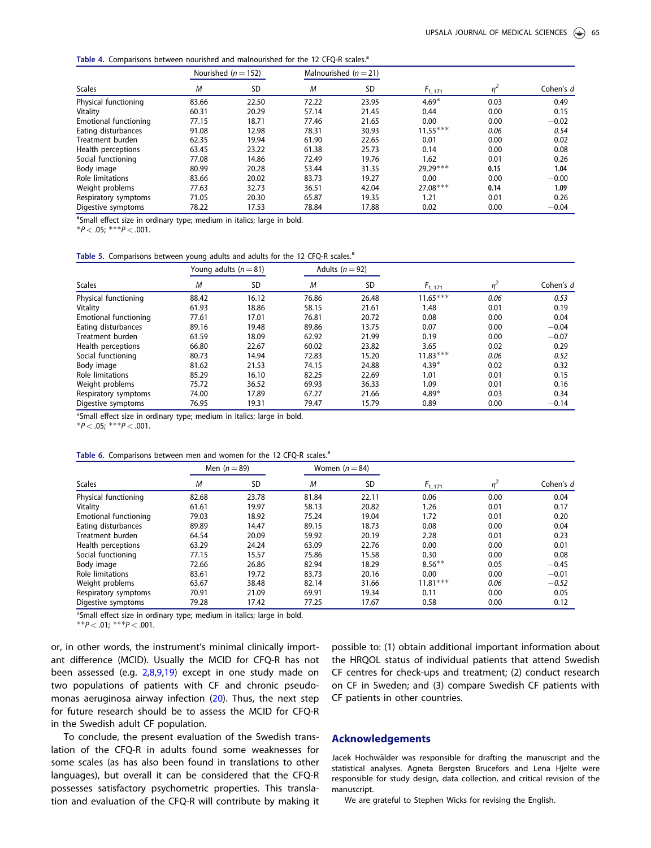<span id="page-4-0"></span>Table 4. Comparisons between nourished and malnourished for the 12 CFQ-R scales.<sup>a</sup>

|                       | Nourished ( $n = 152$ ) |           |       | Malnourished $(n=21)$ |              |                |           |
|-----------------------|-------------------------|-----------|-------|-----------------------|--------------|----------------|-----------|
| <b>Scales</b>         | M                       | <b>SD</b> | M     | SD                    | $F_{1, 171}$ | n <sup>2</sup> | Cohen's d |
| Physical functioning  | 83.66                   | 22.50     | 72.22 | 23.95                 | $4.69*$      | 0.03           | 0.49      |
| Vitality              | 60.31                   | 20.29     | 57.14 | 21.45                 | 0.44         | 0.00           | 0.15      |
| Emotional functioning | 77.15                   | 18.71     | 77.46 | 21.65                 | 0.00         | 0.00           | $-0.02$   |
| Eating disturbances   | 91.08                   | 12.98     | 78.31 | 30.93                 | $11.55***$   | 0.06           | 0.54      |
| Treatment burden      | 62.35                   | 19.94     | 61.90 | 22.65                 | 0.01         | 0.00           | 0.02      |
| Health perceptions    | 63.45                   | 23.22     | 61.38 | 25.73                 | 0.14         | 0.00           | 0.08      |
| Social functioning    | 77.08                   | 14.86     | 72.49 | 19.76                 | 1.62         | 0.01           | 0.26      |
| Body image            | 80.99                   | 20.28     | 53.44 | 31.35                 | 29.29 ***    | 0.15           | 1.04      |
| Role limitations      | 83.66                   | 20.02     | 83.73 | 19.27                 | 0.00         | 0.00           | $-0.00$   |
| Weight problems       | 77.63                   | 32.73     | 36.51 | 42.04                 | $27.08***$   | 0.14           | 1.09      |
| Respiratory symptoms  | 71.05                   | 20.30     | 65.87 | 19.35                 | 1.21         | 0.01           | 0.26      |
| Digestive symptoms    | 78.22                   | 17.53     | 78.84 | 17.88                 | 0.02         | 0.00           | $-0.04$   |

<sup>a</sup>Small effect size in ordinary type; medium in italics; large in bold.

\* $P < .05$ ; \*\*\* $P < .001$ .

|  | Table 5. Comparisons between young adults and adults for the 12 CFQ-R scales. <sup>a</sup> |  |  |  |  |  |  |  |  |  |  |
|--|--------------------------------------------------------------------------------------------|--|--|--|--|--|--|--|--|--|--|
|--|--------------------------------------------------------------------------------------------|--|--|--|--|--|--|--|--|--|--|

|                              | Young adults $(n=81)$ |           |       | Adults ( $n = 92$ ) |             |       |           |
|------------------------------|-----------------------|-----------|-------|---------------------|-------------|-------|-----------|
| <b>Scales</b>                | M                     | <b>SD</b> | M     | <b>SD</b>           | $F_{1,171}$ | $n^2$ | Cohen's d |
| Physical functioning         | 88.42                 | 16.12     | 76.86 | 26.48               | $11.65***$  | 0.06  | 0.53      |
| Vitality                     | 61.93                 | 18.86     | 58.15 | 21.61               | 1.48        | 0.01  | 0.19      |
| <b>Emotional functioning</b> | 77.61                 | 17.01     | 76.81 | 20.72               | 0.08        | 0.00  | 0.04      |
| Eating disturbances          | 89.16                 | 19.48     | 89.86 | 13.75               | 0.07        | 0.00  | $-0.04$   |
| Treatment burden             | 61.59                 | 18.09     | 62.92 | 21.99               | 0.19        | 0.00  | $-0.07$   |
| Health perceptions           | 66.80                 | 22.67     | 60.02 | 23.82               | 3.65        | 0.02  | 0.29      |
| Social functioning           | 80.73                 | 14.94     | 72.83 | 15.20               | $11.83***$  | 0.06  | 0.52      |
| Body image                   | 81.62                 | 21.53     | 74.15 | 24.88               | $4.39*$     | 0.02  | 0.32      |
| Role limitations             | 85.29                 | 16.10     | 82.25 | 22.69               | 1.01        | 0.01  | 0.15      |
| Weight problems              | 75.72                 | 36.52     | 69.93 | 36.33               | 1.09        | 0.01  | 0.16      |
| Respiratory symptoms         | 74.00                 | 17.89     | 67.27 | 21.66               | $4.89*$     | 0.03  | 0.34      |
| Digestive symptoms           | 76.95                 | 19.31     | 79.47 | 15.79               | 0.89        | 0.00  | $-0.14$   |

<sup>a</sup>Small effect size in ordinary type; medium in italics; large in bold.

 $*P < .05;$   $***P < .001$ .

|  |  |  |  |  | Table 6. Comparisons between men and women for the 12 CFQ-R scales. <sup>a</sup> |
|--|--|--|--|--|----------------------------------------------------------------------------------|
|--|--|--|--|--|----------------------------------------------------------------------------------|

|                       |       | Men $(n=89)$ |       | Women $(n=84)$ |             |       |           |
|-----------------------|-------|--------------|-------|----------------|-------------|-------|-----------|
| <b>Scales</b>         | M     | <b>SD</b>    | M     | <b>SD</b>      | $F_{1,171}$ | $n^2$ | Cohen's d |
| Physical functioning  | 82.68 | 23.78        | 81.84 | 22.11          | 0.06        | 0.00  | 0.04      |
| Vitality              | 61.61 | 19.97        | 58.13 | 20.82          | 1.26        | 0.01  | 0.17      |
| Emotional functioning | 79.03 | 18.92        | 75.24 | 19.04          | 1.72        | 0.01  | 0.20      |
| Eating disturbances   | 89.89 | 14.47        | 89.15 | 18.73          | 0.08        | 0.00  | 0.04      |
| Treatment burden      | 64.54 | 20.09        | 59.92 | 20.19          | 2.28        | 0.01  | 0.23      |
| Health perceptions    | 63.29 | 24.24        | 63.09 | 22.76          | 0.00        | 0.00  | 0.01      |
| Social functioning    | 77.15 | 15.57        | 75.86 | 15.58          | 0.30        | 0.00  | 0.08      |
| Body image            | 72.66 | 26.86        | 82.94 | 18.29          | $8.56***$   | 0.05  | $-0.45$   |
| Role limitations      | 83.61 | 19.72        | 83.73 | 20.16          | 0.00        | 0.00  | $-0.01$   |
| Weight problems       | 63.67 | 38.48        | 82.14 | 31.66          | $11.81***$  | 0.06  | $-0.52$   |
| Respiratory symptoms  | 70.91 | 21.09        | 69.91 | 19.34          | 0.11        | 0.00  | 0.05      |
| Digestive symptoms    | 79.28 | 17.42        | 77.25 | 17.67          | 0.58        | 0.00  | 0.12      |

<sup>a</sup>Small effect size in ordinary type; medium in italics; large in bold.

\*\* $P < .01$ ; \*\*\* $P < .001$ .

or, in other words, the instrument's minimal clinically important difference (MCID). Usually the MCID for CFQ-R has not been assessed (e.g. [2,8,9,19](#page-5-0)) except in one study made on two populations of patients with CF and chronic pseudomonas aeruginosa airway infection ([20\)](#page-5-0). Thus, the next step for future research should be to assess the MCID for CFQ-R in the Swedish adult CF population.

To conclude, the present evaluation of the Swedish translation of the CFQ-R in adults found some weaknesses for some scales (as has also been found in translations to other languages), but overall it can be considered that the CFQ-R possesses satisfactory psychometric properties. This translation and evaluation of the CFQ-R will contribute by making it possible to: (1) obtain additional important information about the HRQOL status of individual patients that attend Swedish CF centres for check-ups and treatment; (2) conduct research on CF in Sweden; and (3) compare Swedish CF patients with CF patients in other countries.

#### Acknowledgements

Jacek Hochwälder was responsible for drafting the manuscript and the statistical analyses. Agneta Bergsten Brucefors and Lena Hjelte were responsible for study design, data collection, and critical revision of the manuscript.

We are grateful to Stephen Wicks for revising the English.